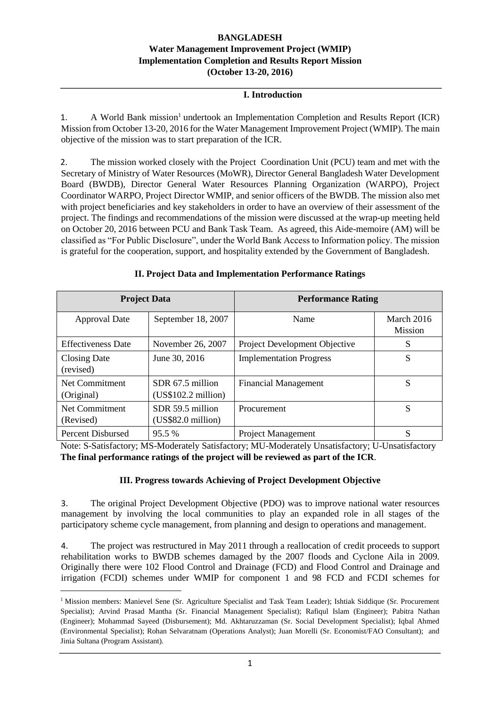### **BANGLADESH Water Management Improvement Project (WMIP) Implementation Completion and Results Report Mission (October 13-20, 2016)**

### **I. Introduction**

1. A World Bank mission<sup>1</sup> undertook an Implementation Completion and Results Report (ICR) Mission from October 13-20, 2016 for the Water Management Improvement Project (WMIP). The main objective of the mission was to start preparation of the ICR.

2. The mission worked closely with the Project Coordination Unit (PCU) team and met with the Secretary of Ministry of Water Resources (MoWR), Director General Bangladesh Water Development Board (BWDB), Director General Water Resources Planning Organization (WARPO), Project Coordinator WARPO, Project Director WMIP, and senior officers of the BWDB. The mission also met with project beneficiaries and key stakeholders in order to have an overview of their assessment of the project. The findings and recommendations of the mission were discussed at the wrap-up meeting held on October 20, 2016 between PCU and Bank Task Team. As agreed, this Aide-memoire (AM) will be classified as "For Public Disclosure", under the World Bank Access to Information policy. The mission is grateful for the cooperation, support, and hospitality extended by the Government of Bangladesh.

|                                  | <b>Project Data</b>                     | <b>Performance Rating</b>      |                              |
|----------------------------------|-----------------------------------------|--------------------------------|------------------------------|
| <b>Approval Date</b>             | September 18, 2007                      | Name                           | March 2016<br><b>Mission</b> |
| <b>Effectiveness Date</b>        | November 26, 2007                       | Project Development Objective  | S                            |
| <b>Closing Date</b><br>(revised) | June 30, 2016                           | <b>Implementation Progress</b> | S                            |
| Net Commitment<br>(Original)     | SDR 67.5 million<br>(US\$102.2 million) | <b>Financial Management</b>    | S                            |
| Net Commitment<br>(Revised)      | SDR 59.5 million<br>(US\$82.0 million)  | Procurement                    | S                            |
| <b>Percent Disbursed</b>         | 95.5 %                                  | <b>Project Management</b>      |                              |

### **II. Project Data and Implementation Performance Ratings**

Note: S-Satisfactory; MS-Moderately Satisfactory; MU-Moderately Unsatisfactory; U-Unsatisfactory **The final performance ratings of the project will be reviewed as part of the ICR**.

### **III. Progress towards Achieving of Project Development Objective**

3. The original Project Development Objective (PDO) was to improve national water resources management by involving the local communities to play an expanded role in all stages of the participatory scheme cycle management, from planning and design to operations and management.

4. The project was restructured in May 2011 through a reallocation of credit proceeds to support rehabilitation works to BWDB schemes damaged by the 2007 floods and Cyclone Aila in 2009. Originally there were 102 Flood Control and Drainage (FCD) and Flood Control and Drainage and irrigation (FCDI) schemes under WMIP for component 1 and 98 FCD and FCDI schemes for

**.** 

<sup>&</sup>lt;sup>1</sup> Mission members: Manievel Sene (Sr. Agriculture Specialist and Task Team Leader); Ishtiak Siddique (Sr. Procurement Specialist); Arvind Prasad Mantha (Sr. Financial Management Specialist); Rafiqul Islam (Engineer); Pabitra Nathan (Engineer); Mohammad Sayeed (Disbursement); Md. Akhtaruzzaman (Sr. Social Development Specialist); Iqbal Ahmed (Environmental Specialist); Rohan Selvaratnam (Operations Analyst); Juan Morelli (Sr. Economist/FAO Consultant); and Jinia Sultana (Program Assistant).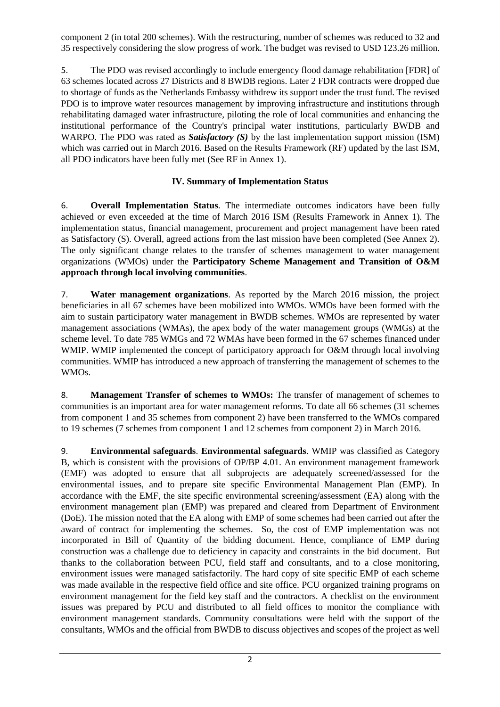component 2 (in total 200 schemes). With the restructuring, number of schemes was reduced to 32 and 35 respectively considering the slow progress of work. The budget was revised to USD 123.26 million.

5. The PDO was revised accordingly to include emergency flood damage rehabilitation [FDR] of 63 schemes located across 27 Districts and 8 BWDB regions. Later 2 FDR contracts were dropped due to shortage of funds as the Netherlands Embassy withdrew its support under the trust fund. The revised PDO is to improve water resources management by improving infrastructure and institutions through rehabilitating damaged water infrastructure, piloting the role of local communities and enhancing the institutional performance of the Country's principal water institutions, particularly BWDB and WARPO. The PDO was rated as *Satisfactory (S)* by the last implementation support mission (ISM) which was carried out in March 2016. Based on the Results Framework (RF) updated by the last ISM, all PDO indicators have been fully met (See RF in Annex 1).

# **IV. Summary of Implementation Status**

6. **Overall Implementation Status**. The intermediate outcomes indicators have been fully achieved or even exceeded at the time of March 2016 ISM (Results Framework in Annex 1). The implementation status, financial management, procurement and project management have been rated as Satisfactory (S). Overall, agreed actions from the last mission have been completed (See Annex 2). The only significant change relates to the transfer of schemes management to water management organizations (WMOs) under the **Participatory Scheme Management and Transition of O&M approach through local involving communities**.

7. **Water management organizations**. As reported by the March 2016 mission, the project beneficiaries in all 67 schemes have been mobilized into WMOs. WMOs have been formed with the aim to sustain participatory water management in BWDB schemes. WMOs are represented by water management associations (WMAs), the apex body of the water management groups (WMGs) at the scheme level. To date 785 WMGs and 72 WMAs have been formed in the 67 schemes financed under WMIP. WMIP implemented the concept of participatory approach for O&M through local involving communities. WMIP has introduced a new approach of transferring the management of schemes to the WMOs.

8. **Management Transfer of schemes to WMOs:** The transfer of management of schemes to communities is an important area for water management reforms. To date all 66 schemes (31 schemes from component 1 and 35 schemes from component 2) have been transferred to the WMOs compared to 19 schemes (7 schemes from component 1 and 12 schemes from component 2) in March 2016.

9. **Environmental safeguards**. **Environmental safeguards**. WMIP was classified as Category B, which is consistent with the provisions of OP/BP 4.01. An environment management framework (EMF) was adopted to ensure that all subprojects are adequately screened/assessed for the environmental issues, and to prepare site specific Environmental Management Plan (EMP). In accordance with the EMF, the site specific environmental screening/assessment (EA) along with the environment management plan (EMP) was prepared and cleared from Department of Environment (DoE). The mission noted that the EA along with EMP of some schemes had been carried out after the award of contract for implementing the schemes. So, the cost of EMP implementation was not incorporated in Bill of Quantity of the bidding document. Hence, compliance of EMP during construction was a challenge due to deficiency in capacity and constraints in the bid document. But thanks to the collaboration between PCU, field staff and consultants, and to a close monitoring, environment issues were managed satisfactorily. The hard copy of site specific EMP of each scheme was made available in the respective field office and site office. PCU organized training programs on environment management for the field key staff and the contractors. A checklist on the environment issues was prepared by PCU and distributed to all field offices to monitor the compliance with environment management standards. Community consultations were held with the support of the consultants, WMOs and the official from BWDB to discuss objectives and scopes of the project as well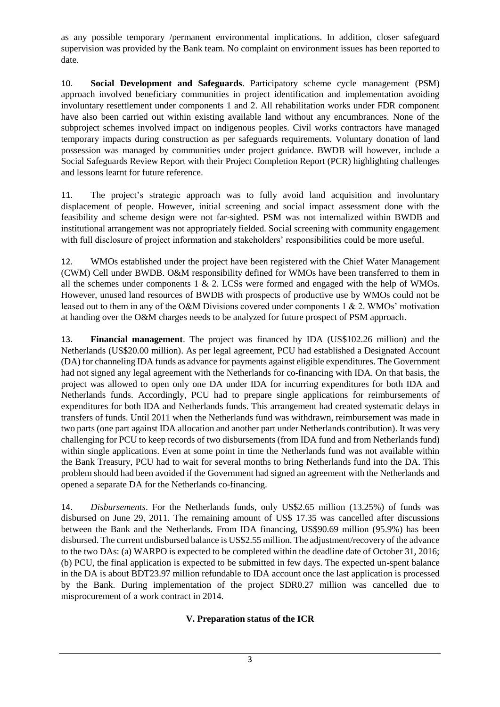as any possible temporary /permanent environmental implications. In addition, closer safeguard supervision was provided by the Bank team. No complaint on environment issues has been reported to date.

10. **Social Development and Safeguards**. Participatory scheme cycle management (PSM) approach involved beneficiary communities in project identification and implementation avoiding involuntary resettlement under components 1 and 2. All rehabilitation works under FDR component have also been carried out within existing available land without any encumbrances. None of the subproject schemes involved impact on indigenous peoples. Civil works contractors have managed temporary impacts during construction as per safeguards requirements. Voluntary donation of land possession was managed by communities under project guidance. BWDB will however, include a Social Safeguards Review Report with their Project Completion Report (PCR) highlighting challenges and lessons learnt for future reference.

11. The project's strategic approach was to fully avoid land acquisition and involuntary displacement of people. However, initial screening and social impact assessment done with the feasibility and scheme design were not far-sighted. PSM was not internalized within BWDB and institutional arrangement was not appropriately fielded. Social screening with community engagement with full disclosure of project information and stakeholders' responsibilities could be more useful.

12. WMOs established under the project have been registered with the Chief Water Management (CWM) Cell under BWDB. O&M responsibility defined for WMOs have been transferred to them in all the schemes under components  $1 \& 2$ . LCSs were formed and engaged with the help of WMOs. However, unused land resources of BWDB with prospects of productive use by WMOs could not be leased out to them in any of the O&M Divisions covered under components 1 & 2. WMOs' motivation at handing over the O&M charges needs to be analyzed for future prospect of PSM approach.

13. **Financial management**. The project was financed by IDA (US\$102.26 million) and the Netherlands (US\$20.00 million). As per legal agreement, PCU had established a Designated Account (DA) for channeling IDA funds as advance for payments against eligible expenditures. The Government had not signed any legal agreement with the Netherlands for co-financing with IDA. On that basis, the project was allowed to open only one DA under IDA for incurring expenditures for both IDA and Netherlands funds. Accordingly, PCU had to prepare single applications for reimbursements of expenditures for both IDA and Netherlands funds. This arrangement had created systematic delays in transfers of funds. Until 2011 when the Netherlands fund was withdrawn, reimbursement was made in two parts (one part against IDA allocation and another part under Netherlands contribution). It was very challenging for PCU to keep records of two disbursements (from IDA fund and from Netherlands fund) within single applications. Even at some point in time the Netherlands fund was not available within the Bank Treasury, PCU had to wait for several months to bring Netherlands fund into the DA. This problem should had been avoided if the Government had signed an agreement with the Netherlands and opened a separate DA for the Netherlands co-financing.

14. *Disbursements*. For the Netherlands funds, only US\$2.65 million (13.25%) of funds was disbursed on June 29, 2011. The remaining amount of US\$ 17.35 was cancelled after discussions between the Bank and the Netherlands. From IDA financing, US\$90.69 million (95.9%) has been disbursed. The current undisbursed balance is US\$2.55 million. The adjustment/recovery of the advance to the two DAs: (a) WARPO is expected to be completed within the deadline date of October 31, 2016; (b) PCU, the final application is expected to be submitted in few days. The expected un-spent balance in the DA is about BDT23.97 million refundable to IDA account once the last application is processed by the Bank. During implementation of the project SDR0.27 million was cancelled due to misprocurement of a work contract in 2014.

# **V. Preparation status of the ICR**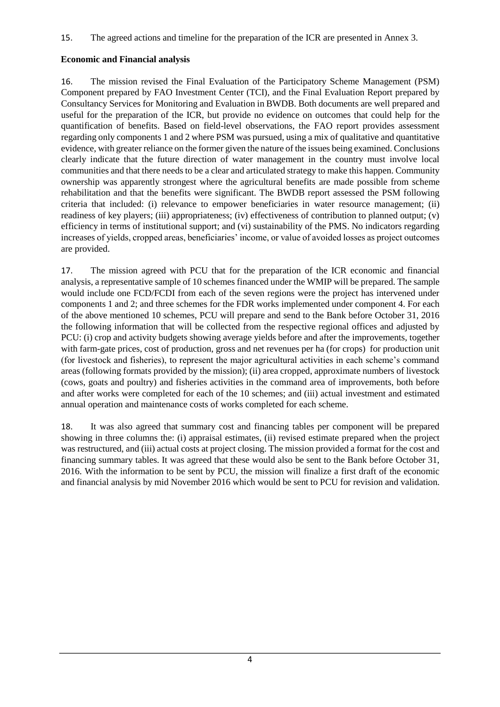15. The agreed actions and timeline for the preparation of the ICR are presented in Annex 3.

## **Economic and Financial analysis**

16. The mission revised the Final Evaluation of the Participatory Scheme Management (PSM) Component prepared by FAO Investment Center (TCI), and the Final Evaluation Report prepared by Consultancy Services for Monitoring and Evaluation in BWDB. Both documents are well prepared and useful for the preparation of the ICR, but provide no evidence on outcomes that could help for the quantification of benefits. Based on field-level observations, the FAO report provides assessment regarding only components 1 and 2 where PSM was pursued, using a mix of qualitative and quantitative evidence, with greater reliance on the former given the nature of the issues being examined. Conclusions clearly indicate that the future direction of water management in the country must involve local communities and that there needs to be a clear and articulated strategy to make this happen. Community ownership was apparently strongest where the agricultural benefits are made possible from scheme rehabilitation and that the benefits were significant. The BWDB report assessed the PSM following criteria that included: (i) relevance to empower beneficiaries in water resource management; (ii) readiness of key players; (iii) appropriateness; (iv) effectiveness of contribution to planned output; (v) efficiency in terms of institutional support; and (vi) sustainability of the PMS. No indicators regarding increases of yields, cropped areas, beneficiaries' income, or value of avoided losses as project outcomes are provided.

17. The mission agreed with PCU that for the preparation of the ICR economic and financial analysis, a representative sample of 10 schemes financed under the WMIP will be prepared. The sample would include one FCD/FCDI from each of the seven regions were the project has intervened under components 1 and 2; and three schemes for the FDR works implemented under component 4. For each of the above mentioned 10 schemes, PCU will prepare and send to the Bank before October 31, 2016 the following information that will be collected from the respective regional offices and adjusted by PCU: (i) crop and activity budgets showing average yields before and after the improvements, together with farm-gate prices, cost of production, gross and net revenues per ha (for crops) for production unit (for livestock and fisheries), to represent the major agricultural activities in each scheme's command areas (following formats provided by the mission); (ii) area cropped, approximate numbers of livestock (cows, goats and poultry) and fisheries activities in the command area of improvements, both before and after works were completed for each of the 10 schemes; and (iii) actual investment and estimated annual operation and maintenance costs of works completed for each scheme.

18. It was also agreed that summary cost and financing tables per component will be prepared showing in three columns the: (i) appraisal estimates, (ii) revised estimate prepared when the project was restructured, and (iii) actual costs at project closing. The mission provided a format for the cost and financing summary tables. It was agreed that these would also be sent to the Bank before October 31, 2016. With the information to be sent by PCU, the mission will finalize a first draft of the economic and financial analysis by mid November 2016 which would be sent to PCU for revision and validation.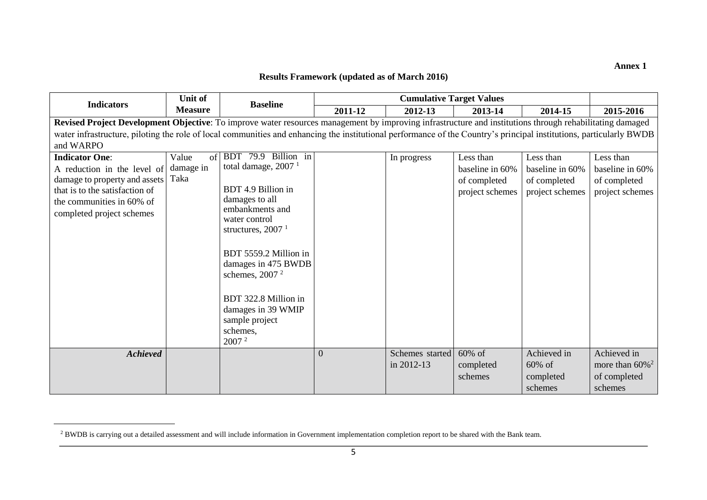### **Annex 1**

## **Results Framework (updated as of March 2016)**

|                                                                                                                                                                                                                                                                                                                                 | Unit of                          |                                                                                                                                                                                                                                                                                                                                |                | <b>Cumulative Target Values</b> |                                                                 |                                                                 |                                                                 |
|---------------------------------------------------------------------------------------------------------------------------------------------------------------------------------------------------------------------------------------------------------------------------------------------------------------------------------|----------------------------------|--------------------------------------------------------------------------------------------------------------------------------------------------------------------------------------------------------------------------------------------------------------------------------------------------------------------------------|----------------|---------------------------------|-----------------------------------------------------------------|-----------------------------------------------------------------|-----------------------------------------------------------------|
| <b>Indicators</b>                                                                                                                                                                                                                                                                                                               | <b>Measure</b>                   | <b>Baseline</b>                                                                                                                                                                                                                                                                                                                | 2011-12        | 2012-13                         | 2013-14                                                         | 2014-15                                                         | 2015-2016                                                       |
| Revised Project Development Objective: To improve water resources management by improving infrastructure and institutions through rehabilitating damaged<br>water infrastructure, piloting the role of local communities and enhancing the institutional performance of the Country's principal institutions, particularly BWDB |                                  |                                                                                                                                                                                                                                                                                                                                |                |                                 |                                                                 |                                                                 |                                                                 |
| and WARPO                                                                                                                                                                                                                                                                                                                       |                                  |                                                                                                                                                                                                                                                                                                                                |                |                                 |                                                                 |                                                                 |                                                                 |
| <b>Indicator One:</b><br>A reduction in the level of<br>damage to property and assets<br>that is to the satisfaction of<br>the communities in 60% of<br>completed project schemes                                                                                                                                               | Value<br>of<br>damage in<br>Taka | BDT 79.9 Billion in<br>total damage, 2007 <sup>1</sup><br>BDT 4.9 Billion in<br>damages to all<br>embankments and<br>water control<br>structures, $20071$<br>BDT 5559.2 Million in<br>damages in 475 BWDB<br>schemes, $20072$<br>BDT 322.8 Million in<br>damages in 39 WMIP<br>sample project<br>schemes.<br>2007 <sup>2</sup> |                | In progress                     | Less than<br>baseline in 60%<br>of completed<br>project schemes | Less than<br>baseline in 60%<br>of completed<br>project schemes | Less than<br>baseline in 60%<br>of completed<br>project schemes |
| <b>Achieved</b>                                                                                                                                                                                                                                                                                                                 |                                  |                                                                                                                                                                                                                                                                                                                                | $\overline{0}$ | Schemes started                 | $60\%$ of                                                       | Achieved in                                                     | Achieved in                                                     |
|                                                                                                                                                                                                                                                                                                                                 |                                  |                                                                                                                                                                                                                                                                                                                                |                | in 2012-13                      | completed                                                       | $60\%$ of                                                       | more than $60\%$ <sup>2</sup>                                   |
|                                                                                                                                                                                                                                                                                                                                 |                                  |                                                                                                                                                                                                                                                                                                                                |                |                                 | schemes                                                         | completed                                                       | of completed                                                    |
|                                                                                                                                                                                                                                                                                                                                 |                                  |                                                                                                                                                                                                                                                                                                                                |                |                                 |                                                                 | schemes                                                         | schemes                                                         |

 $\overline{\phantom{a}}$ 

<sup>&</sup>lt;sup>2</sup> BWDB is carrying out a detailed assessment and will include information in Government implementation completion report to be shared with the Bank team.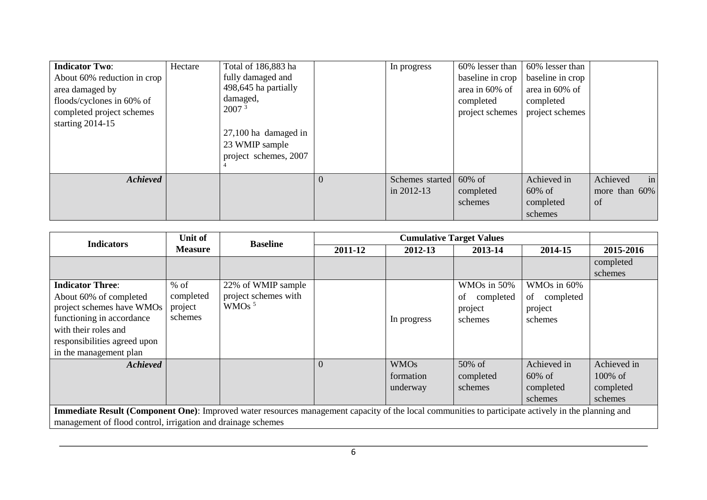| <b>Indicator Two:</b><br>About 60% reduction in crop<br>area damaged by<br>floods/cyclones in 60% of<br>completed project schemes<br>starting $2014-15$ | Hectare | Total of 186,883 ha<br>fully damaged and<br>498,645 ha partially<br>damaged,<br>2007 <sup>3</sup><br>$27,100$ ha damaged in<br>23 WMIP sample<br>project schemes, 2007 |          | In progress                              | 60% lesser than<br>baseline in crop<br>area in 60% of<br>completed<br>project schemes | 60% lesser than<br>baseline in crop<br>area in 60% of<br>completed<br>project schemes |                                       |
|---------------------------------------------------------------------------------------------------------------------------------------------------------|---------|------------------------------------------------------------------------------------------------------------------------------------------------------------------------|----------|------------------------------------------|---------------------------------------------------------------------------------------|---------------------------------------------------------------------------------------|---------------------------------------|
| <b>Achieved</b>                                                                                                                                         |         |                                                                                                                                                                        | $\Omega$ | Schemes started 60% of<br>in $2012 - 13$ | completed<br>schemes                                                                  | Achieved in<br>$60\% \text{ of }$<br>completed<br>schemes                             | Achieved<br>in<br>more than 60%<br>of |

| <b>Indicators</b>                                                                                                                                           | Unit of        | <b>Baseline</b>      |          |             | <b>Cumulative Target Values</b> |                    |             |
|-------------------------------------------------------------------------------------------------------------------------------------------------------------|----------------|----------------------|----------|-------------|---------------------------------|--------------------|-------------|
|                                                                                                                                                             | <b>Measure</b> |                      | 2011-12  | 2012-13     | 2013-14                         | 2014-15            | 2015-2016   |
|                                                                                                                                                             |                |                      |          |             |                                 |                    | completed   |
|                                                                                                                                                             |                |                      |          |             |                                 |                    | schemes     |
| <b>Indicator Three:</b>                                                                                                                                     | $%$ of         | 22% of WMIP sample   |          |             | WMOs in 50%                     | WMOs in 60%        |             |
| About 60% of completed                                                                                                                                      | completed      | project schemes with |          |             | completed<br>of                 | of completed       |             |
| project schemes have WMOs                                                                                                                                   | project        | WMOs <sup>5</sup>    |          |             | project                         | project            |             |
| functioning in accordance                                                                                                                                   | schemes        |                      |          | In progress | schemes                         | schemes            |             |
| with their roles and                                                                                                                                        |                |                      |          |             |                                 |                    |             |
| responsibilities agreed upon                                                                                                                                |                |                      |          |             |                                 |                    |             |
| in the management plan                                                                                                                                      |                |                      |          |             |                                 |                    |             |
| <b>Achieved</b>                                                                                                                                             |                |                      | $\theta$ | <b>WMOs</b> | $50\% \text{ of }$              | Achieved in        | Achieved in |
|                                                                                                                                                             |                |                      |          | formation   | completed                       | $60\% \text{ of }$ | $100\%$ of  |
|                                                                                                                                                             |                |                      |          | underway    | schemes                         | completed          | completed   |
|                                                                                                                                                             |                |                      |          |             |                                 | schemes            | schemes     |
| <b>Immediate Result (Component One)</b> : Improved water resources management capacity of the local communities to participate actively in the planning and |                |                      |          |             |                                 |                    |             |
| management of flood control, irrigation and drainage schemes                                                                                                |                |                      |          |             |                                 |                    |             |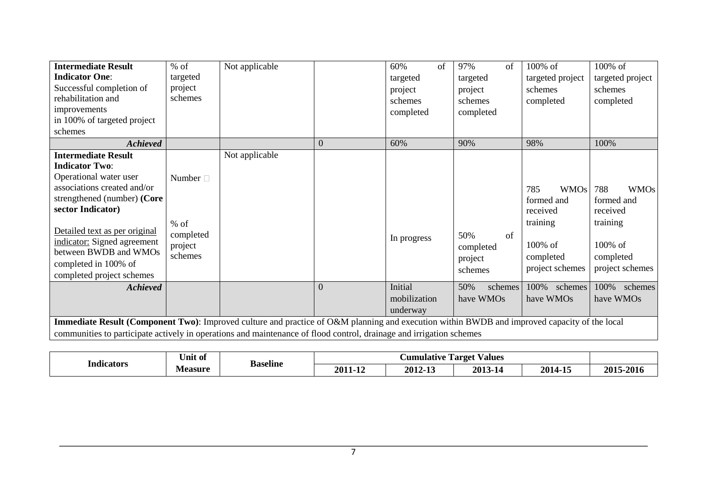| <b>Intermediate Result</b><br><b>Indicator One:</b><br>Successful completion of<br>rehabilitation and<br>improvements<br>in 100% of targeted project<br>schemes                                                                                                                                                | $%$ of<br>targeted<br>project<br>schemes                   | Not applicable |                | 60%<br>of<br>targeted<br>project<br>schemes<br>completed | 97%<br>of<br>targeted<br>project<br>schemes<br>completed | 100% of<br>targeted project<br>schemes<br>completed                                                    | 100% of<br>targeted project<br>schemes<br>completed                                                 |  |
|----------------------------------------------------------------------------------------------------------------------------------------------------------------------------------------------------------------------------------------------------------------------------------------------------------------|------------------------------------------------------------|----------------|----------------|----------------------------------------------------------|----------------------------------------------------------|--------------------------------------------------------------------------------------------------------|-----------------------------------------------------------------------------------------------------|--|
| <b>Achieved</b>                                                                                                                                                                                                                                                                                                |                                                            |                | $\overline{0}$ | 60%                                                      | 90%                                                      | 98%                                                                                                    | 100%                                                                                                |  |
| <b>Intermediate Result</b><br><b>Indicator Two:</b><br>Operational water user<br>associations created and/or<br>strengthened (number) (Core<br>sector Indicator)<br>Detailed text as per original<br>indicator: Signed agreement<br>between BWDB and WMOs<br>completed in 100% of<br>completed project schemes | Number $\Box$<br>$%$ of<br>completed<br>project<br>schemes | Not applicable |                | In progress                                              | of<br>50%<br>completed<br>project<br>schemes             | 785<br><b>WMOs</b><br>formed and<br>received<br>training<br>$100\%$ of<br>completed<br>project schemes | 788<br><b>WMOs</b><br>formed and<br>received<br>training<br>100% of<br>completed<br>project schemes |  |
| <b>Achieved</b>                                                                                                                                                                                                                                                                                                |                                                            |                | $\theta$       | Initial                                                  | 50%<br>schemes                                           | 100%<br>schemes                                                                                        | 100%<br>schemes                                                                                     |  |
|                                                                                                                                                                                                                                                                                                                |                                                            |                |                | mobilization<br>underway                                 | have WMOs                                                | have WMOs                                                                                              | have WMOs                                                                                           |  |
| Immediate Result (Component Two): Improved culture and practice of O&M planning and execution within BWDB and improved capacity of the local<br>communities to participate actively in operations and maintenance of flood control, drainage and irrigation schemes                                            |                                                            |                |                |                                                          |                                                          |                                                                                                        |                                                                                                     |  |

| <br>Indicators | ∪nıt of | Baseline |                 | <b>Aumulative</b> | Targe<br><i><b>Values</b></i> |                   |                 |
|----------------|---------|----------|-----------------|-------------------|-------------------------------|-------------------|-----------------|
|                | Measure |          | 20 <sup>7</sup> | 201               | 2013                          | 2014<br>- -<br>ъ. | $201^5$<br>2016 |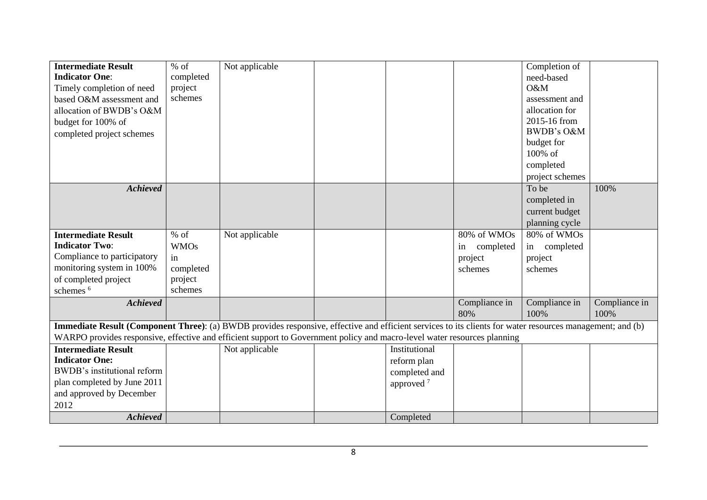| <b>Intermediate Result</b>                                                                                                                                | $%$ of      | Not applicable |                       |                 | Completion of   |               |
|-----------------------------------------------------------------------------------------------------------------------------------------------------------|-------------|----------------|-----------------------|-----------------|-----------------|---------------|
| <b>Indicator One:</b>                                                                                                                                     | completed   |                |                       |                 | need-based      |               |
| Timely completion of need                                                                                                                                 | project     |                |                       |                 | O&M             |               |
| based O&M assessment and                                                                                                                                  | schemes     |                |                       |                 | assessment and  |               |
| allocation of BWDB's O&M                                                                                                                                  |             |                |                       |                 | allocation for  |               |
| budget for 100% of                                                                                                                                        |             |                |                       |                 | 2015-16 from    |               |
| completed project schemes                                                                                                                                 |             |                |                       |                 | BWDB's O&M      |               |
|                                                                                                                                                           |             |                |                       |                 | budget for      |               |
|                                                                                                                                                           |             |                |                       |                 | 100% of         |               |
|                                                                                                                                                           |             |                |                       |                 | completed       |               |
|                                                                                                                                                           |             |                |                       |                 | project schemes |               |
| <b>Achieved</b>                                                                                                                                           |             |                |                       |                 | To be           | 100%          |
|                                                                                                                                                           |             |                |                       |                 | completed in    |               |
|                                                                                                                                                           |             |                |                       |                 | current budget  |               |
|                                                                                                                                                           |             |                |                       |                 | planning cycle  |               |
| <b>Intermediate Result</b>                                                                                                                                | $%$ of      | Not applicable |                       | 80% of WMOs     | 80% of WMOs     |               |
| <b>Indicator Two:</b>                                                                                                                                     | <b>WMOs</b> |                |                       | completed<br>in | completed<br>in |               |
| Compliance to participatory                                                                                                                               | in          |                |                       | project         | project         |               |
| monitoring system in 100%                                                                                                                                 | completed   |                |                       | schemes         | schemes         |               |
| of completed project                                                                                                                                      | project     |                |                       |                 |                 |               |
| schemes <sup>6</sup>                                                                                                                                      | schemes     |                |                       |                 |                 |               |
| <b>Achieved</b>                                                                                                                                           |             |                |                       | Compliance in   | Compliance in   | Compliance in |
|                                                                                                                                                           |             |                |                       | 80%             | 100%            | 100%          |
| Immediate Result (Component Three): (a) BWDB provides responsive, effective and efficient services to its clients for water resources management; and (b) |             |                |                       |                 |                 |               |
| WARPO provides responsive, effective and efficient support to Government policy and macro-level water resources planning                                  |             |                |                       |                 |                 |               |
| <b>Intermediate Result</b>                                                                                                                                |             | Not applicable | Institutional         |                 |                 |               |
| <b>Indicator One:</b>                                                                                                                                     |             |                | reform plan           |                 |                 |               |
| BWDB's institutional reform                                                                                                                               |             |                | completed and         |                 |                 |               |
| plan completed by June 2011                                                                                                                               |             |                | approved <sup>7</sup> |                 |                 |               |
| and approved by December                                                                                                                                  |             |                |                       |                 |                 |               |
| 2012                                                                                                                                                      |             |                |                       |                 |                 |               |
| <b>Achieved</b>                                                                                                                                           |             |                | Completed             |                 |                 |               |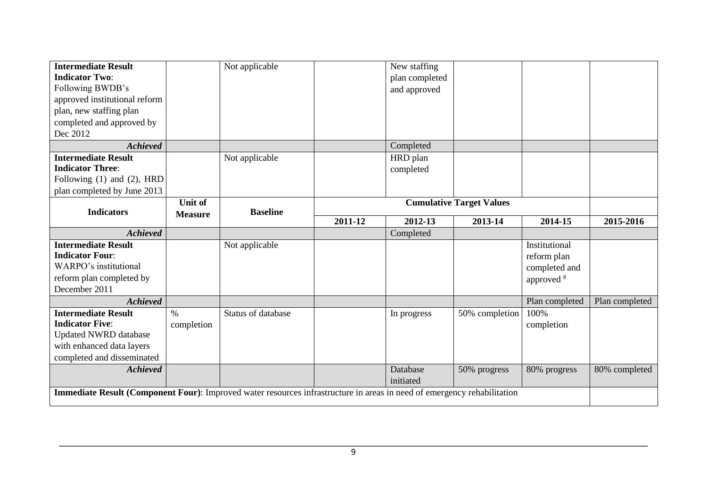| <b>Intermediate Result</b>                                                                                              |                | Not applicable     |         | New staffing   |                                 |                |                |
|-------------------------------------------------------------------------------------------------------------------------|----------------|--------------------|---------|----------------|---------------------------------|----------------|----------------|
| <b>Indicator Two:</b>                                                                                                   |                |                    |         | plan completed |                                 |                |                |
| Following BWDB's                                                                                                        |                |                    |         | and approved   |                                 |                |                |
| approved institutional reform                                                                                           |                |                    |         |                |                                 |                |                |
| plan, new staffing plan                                                                                                 |                |                    |         |                |                                 |                |                |
| completed and approved by                                                                                               |                |                    |         |                |                                 |                |                |
| Dec 2012                                                                                                                |                |                    |         |                |                                 |                |                |
| <b>Achieved</b>                                                                                                         |                |                    |         | Completed      |                                 |                |                |
| <b>Intermediate Result</b>                                                                                              |                | Not applicable     |         | HRD plan       |                                 |                |                |
| <b>Indicator Three:</b>                                                                                                 |                |                    |         | completed      |                                 |                |                |
| Following (1) and (2), HRD                                                                                              |                |                    |         |                |                                 |                |                |
| plan completed by June 2013                                                                                             |                |                    |         |                |                                 |                |                |
|                                                                                                                         | <b>Unit of</b> |                    |         |                | <b>Cumulative Target Values</b> |                |                |
| <b>Indicators</b>                                                                                                       | <b>Measure</b> | <b>Baseline</b>    | 2011-12 | 2012-13        | 2013-14                         | 2014-15        | 2015-2016      |
| <b>Achieved</b>                                                                                                         |                |                    |         | Completed      |                                 |                |                |
| <b>Intermediate Result</b>                                                                                              |                | Not applicable     |         |                |                                 | Institutional  |                |
| <b>Indicator Four:</b>                                                                                                  |                |                    |         |                |                                 | reform plan    |                |
| WARPO's institutional                                                                                                   |                |                    |         |                |                                 | completed and  |                |
| reform plan completed by                                                                                                |                |                    |         |                |                                 | approved 8     |                |
| December 2011                                                                                                           |                |                    |         |                |                                 |                |                |
| <b>Achieved</b>                                                                                                         |                |                    |         |                |                                 | Plan completed | Plan completed |
| <b>Intermediate Result</b>                                                                                              | $\%$           | Status of database |         | In progress    | 50% completion                  | 100%           |                |
| <b>Indicator Five:</b>                                                                                                  | completion     |                    |         |                |                                 | completion     |                |
| <b>Updated NWRD database</b>                                                                                            |                |                    |         |                |                                 |                |                |
| with enhanced data layers                                                                                               |                |                    |         |                |                                 |                |                |
| completed and disseminated                                                                                              |                |                    |         |                |                                 |                |                |
| <b>Achieved</b>                                                                                                         |                |                    |         | Database       | 50% progress                    | 80% progress   | 80% completed  |
|                                                                                                                         |                |                    |         | initiated      |                                 |                |                |
| Immediate Result (Component Four): Improved water resources infrastructure in areas in need of emergency rehabilitation |                |                    |         |                |                                 |                |                |
|                                                                                                                         |                |                    |         |                |                                 |                |                |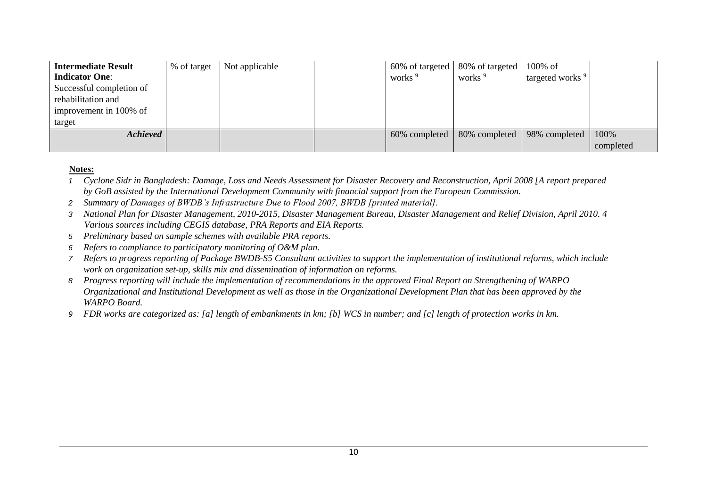| <b>Intermediate Result</b> | % of target | Not applicable |                    | $60\%$ of targeted   80% of targeted | $100\%$ of                  |           |
|----------------------------|-------------|----------------|--------------------|--------------------------------------|-----------------------------|-----------|
| <b>Indicator One:</b>      |             |                | works <sup>9</sup> | works <sup>9</sup>                   | targeted works <sup>9</sup> |           |
| Successful completion of   |             |                |                    |                                      |                             |           |
| rehabilitation and         |             |                |                    |                                      |                             |           |
| improvement in 100% of     |             |                |                    |                                      |                             |           |
| target                     |             |                |                    |                                      |                             |           |
| <b>Achieved</b>            |             |                | 60% completed      | 80% completed                        | 98% completed               | 100%      |
|                            |             |                |                    |                                      |                             | completed |

#### **Notes:**

- *1 Cyclone Sidr in Bangladesh: Damage, Loss and Needs Assessment for Disaster Recovery and Reconstruction, April 2008 [A report prepared by GoB assisted by the International Development Community with financial support from the European Commission.*
- *2 Summary of Damages of BWDB's Infrastructure Due to Flood 2007, BWDB [printed material].*
- *3 National Plan for Disaster Management, 2010-2015, Disaster Management Bureau, Disaster Management and Relief Division, April 2010. 4 Various sources including CEGIS database, PRA Reports and EIA Reports.*
- *5 Preliminary based on sample schemes with available PRA reports.*
- *6 Refers to compliance to participatory monitoring of O&M plan.*
- *7 Refers to progress reporting of Package BWDB-S5 Consultant activities to support the implementation of institutional reforms, which include work on organization set-up, skills mix and dissemination of information on reforms.*
- *8 Progress reporting will include the implementation of recommendations in the approved Final Report on Strengthening of WARPO Organizational and Institutional Development as well as those in the Organizational Development Plan that has been approved by the WARPO Board.*
- *9 FDR works are categorized as: [a] length of embankments in km; [b] WCS in number; and [c] length of protection works in km.*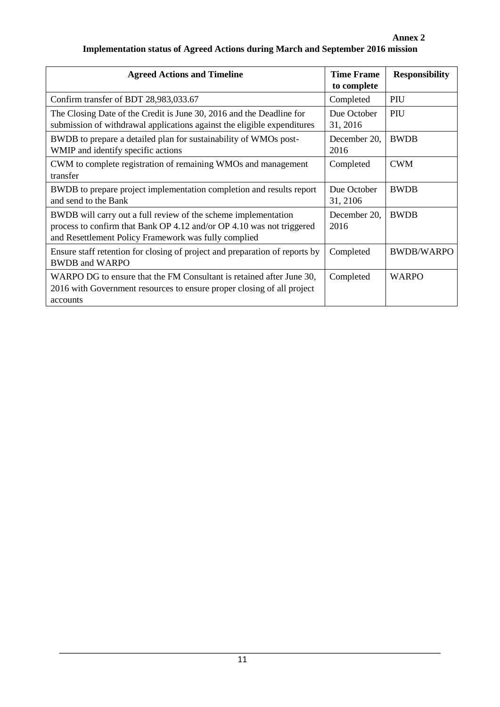## **Annex 2 Implementation status of Agreed Actions during March and September 2016 mission**

| <b>Agreed Actions and Timeline</b>                                                                                                                                                              | <b>Time Frame</b><br>to complete | <b>Responsibility</b> |
|-------------------------------------------------------------------------------------------------------------------------------------------------------------------------------------------------|----------------------------------|-----------------------|
| Confirm transfer of BDT 28,983,033.67                                                                                                                                                           | Completed                        | PIU                   |
| The Closing Date of the Credit is June 30, 2016 and the Deadline for<br>submission of withdrawal applications against the eligible expenditures                                                 | Due October<br>31, 2016          | PIU                   |
| BWDB to prepare a detailed plan for sustainability of WMOs post-<br>WMIP and identify specific actions                                                                                          | December 20,<br>2016             | <b>BWDB</b>           |
| CWM to complete registration of remaining WMOs and management<br>transfer                                                                                                                       | Completed                        | <b>CWM</b>            |
| BWDB to prepare project implementation completion and results report<br>and send to the Bank                                                                                                    | Due October<br>31, 2106          | <b>BWDB</b>           |
| BWDB will carry out a full review of the scheme implementation<br>process to confirm that Bank OP 4.12 and/or OP 4.10 was not triggered<br>and Resettlement Policy Framework was fully complied | December 20,<br>2016             | <b>BWDB</b>           |
| Ensure staff retention for closing of project and preparation of reports by<br><b>BWDB</b> and WARPO                                                                                            | Completed                        | <b>BWDB/WARPO</b>     |
| WARPO DG to ensure that the FM Consultant is retained after June 30,<br>2016 with Government resources to ensure proper closing of all project<br>accounts                                      | Completed                        | <b>WARPO</b>          |